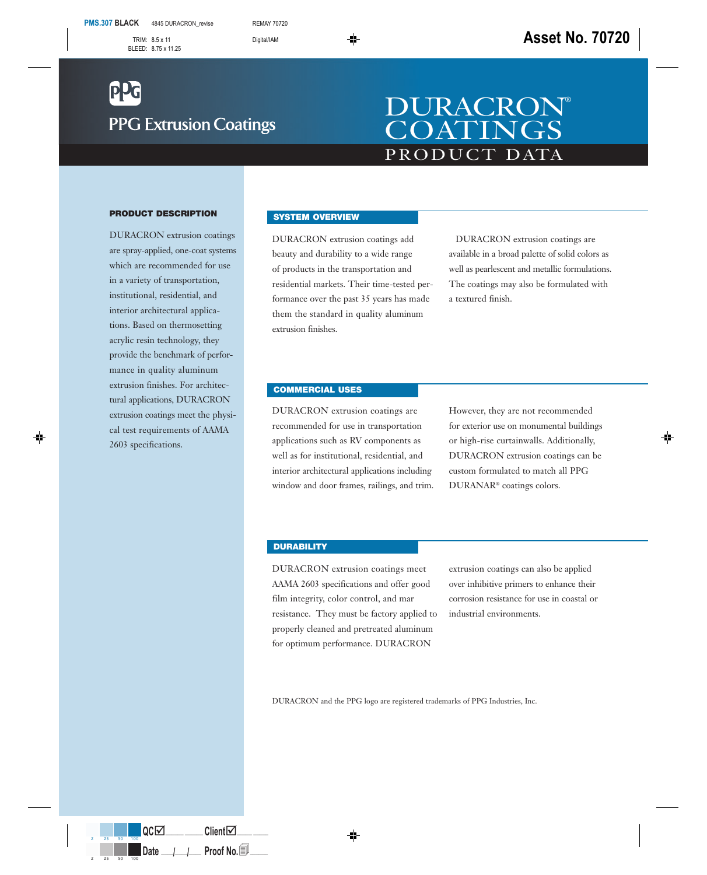# **PPG Extrusion Coatings**

## PRODUCT DATA DURACRON® **COATINGS**

#### **PRODUCT DESCRIPTION**

DURACRON extrusion coatings are spray-applied, one-coat systems which are recommended for use in a variety of transportation, institutional, residential, and interior architectural applications. Based on thermosetting acrylic resin technology, they provide the benchmark of performance in quality aluminum extrusion finishes. For architectural applications, DURACRON extrusion coatings meet the physical test requirements of AAMA 2603 specifications.

#### **SYSTEM OVERVIEW**

DURACRON extrusion coatings add beauty and durability to a wide range of products in the transportation and residential markets. Their time-tested performance over the past 35 years has made them the standard in quality aluminum extrusion finishes.

DURACRON extrusion coatings are available in a broad palette of solid colors as well as pearlescent and metallic formulations. The coatings may also be formulated with a textured finish.

#### **COMMERCIAL USES**

DURACRON extrusion coatings are recommended for use in transportation applications such as RV components as well as for institutional, residential, and interior architectural applications including window and door frames, railings, and trim. However, they are not recommended for exterior use on monumental buildings or high-rise curtainwalls. Additionally, DURACRON extrusion coatings can be custom formulated to match all PPG DURANAR® coatings colors.

#### **DURABILITY**

DURACRON extrusion coatings meet AAMA 2603 specifications and offer good film integrity, color control, and mar resistance. They must be factory applied to properly cleaned and pretreated aluminum for optimum performance. DURACRON

extrusion coatings can also be applied over inhibitive primers to enhance their corrosion resistance for use in coastal or industrial environments.

DURACRON and the PPG logo are registered trademarks of PPG Industries, Inc.